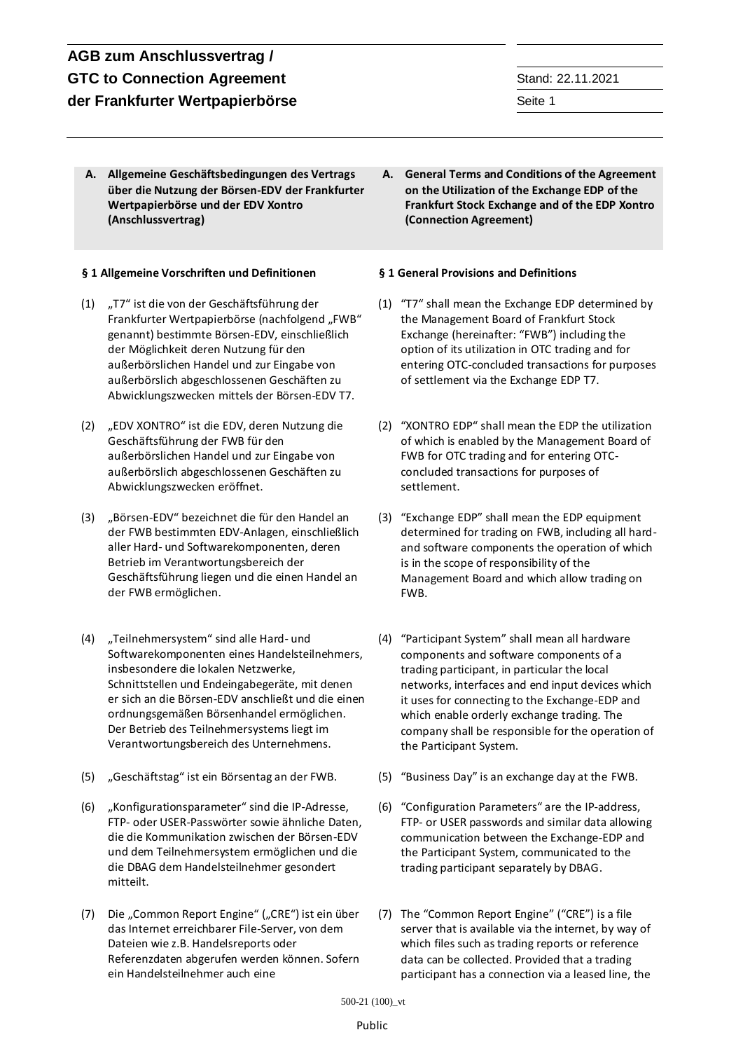**A. Allgemeine Geschäftsbedingungen des Vertrags über die Nutzung der Börsen-EDV der Frankfurter Wertpapierbörse und der EDV Xontro (Anschlussvertrag)**

## **§ 1 Allgemeine Vorschriften und Definitionen § 1 General Provisions and Definitions**

- (1) "T7" ist die von der Geschäftsführung der Frankfurter Wertpapierbörse (nachfolgend "FWB" genannt) bestimmte Börsen-EDV, einschließlich der Möglichkeit deren Nutzung für den außerbörslichen Handel und zur Eingabe von außerbörslich abgeschlossenen Geschäften zu Abwicklungszwecken mittels der Börsen-EDV T7.
- (2) "EDV XONTRO" ist die EDV, deren Nutzung die Geschäftsführung der FWB für den außerbörslichen Handel und zur Eingabe von außerbörslich abgeschlossenen Geschäften zu Abwicklungszwecken eröffnet.
- (3) "Börsen-EDV" bezeichnet die für den Handel an der FWB bestimmten EDV-Anlagen, einschließlich aller Hard- und Softwarekomponenten, deren Betrieb im Verantwortungsbereich der Geschäftsführung liegen und die einen Handel an der FWB ermöglichen.
- (4) "Teilnehmersystem" sind alle Hard- und Softwarekomponenten eines Handelsteilnehmers, insbesondere die lokalen Netzwerke, Schnittstellen und Endeingabegeräte, mit denen er sich an die Börsen-EDV anschließt und die einen ordnungsgemäßen Börsenhandel ermöglichen. Der Betrieb des Teilnehmersystems liegt im Verantwortungsbereich des Unternehmens.
- 
- (6) "Konfigurationsparameter" sind die IP-Adresse, FTP- oder USER-Passwörter sowie ähnliche Daten, die die Kommunikation zwischen der Börsen-EDV und dem Teilnehmersystem ermöglichen und die die DBAG dem Handelsteilnehmer gesondert mitteilt.
- (7) Die "Common Report Engine" ("CRE") ist ein über das Internet erreichbarer File-Server, von dem Dateien wie z.B. Handelsreports oder Referenzdaten abgerufen werden können. Sofern ein Handelsteilnehmer auch eine

**A. General Terms and Conditions of the Agreement on the Utilization of the Exchange EDP of the Frankfurt Stock Exchange and of the EDP Xontro (Connection Agreement)**

- (1) "T7" shall mean the Exchange EDP determined by the Management Board of Frankfurt Stock Exchange (hereinafter: "FWB") including the option of its utilization in OTC trading and for entering OTC-concluded transactions for purposes of settlement via the Exchange EDP T7.
- (2) "XONTRO EDP" shall mean the EDP the utilization of which is enabled by the Management Board of FWB for OTC trading and for entering OTCconcluded transactions for purposes of settlement.
- (3) "Exchange EDP" shall mean the EDP equipment determined for trading on FWB, including all hardand software components the operation of which is in the scope of responsibility of the Management Board and which allow trading on FWB.
- (4) "Participant System" shall mean all hardware components and software components of a trading participant, in particular the local networks, interfaces and end input devices which it uses for connecting to the Exchange-EDP and which enable orderly exchange trading. The company shall be responsible for the operation of the Participant System.
- (5) "Geschäftstag" ist ein Börsentag an der FWB. (5) "Business Day" is an exchange day at the FWB.
	- (6) "Configuration Parameters" are the IP-address, FTP- or USER passwords and similar data allowing communication between the Exchange-EDP and the Participant System, communicated to the trading participant separately by DBAG.
	- (7) The "Common Report Engine" ("CRE") is a file server that is available via the internet, by way of which files such as trading reports or reference data can be collected. Provided that a trading participant has a connection via a leased line, the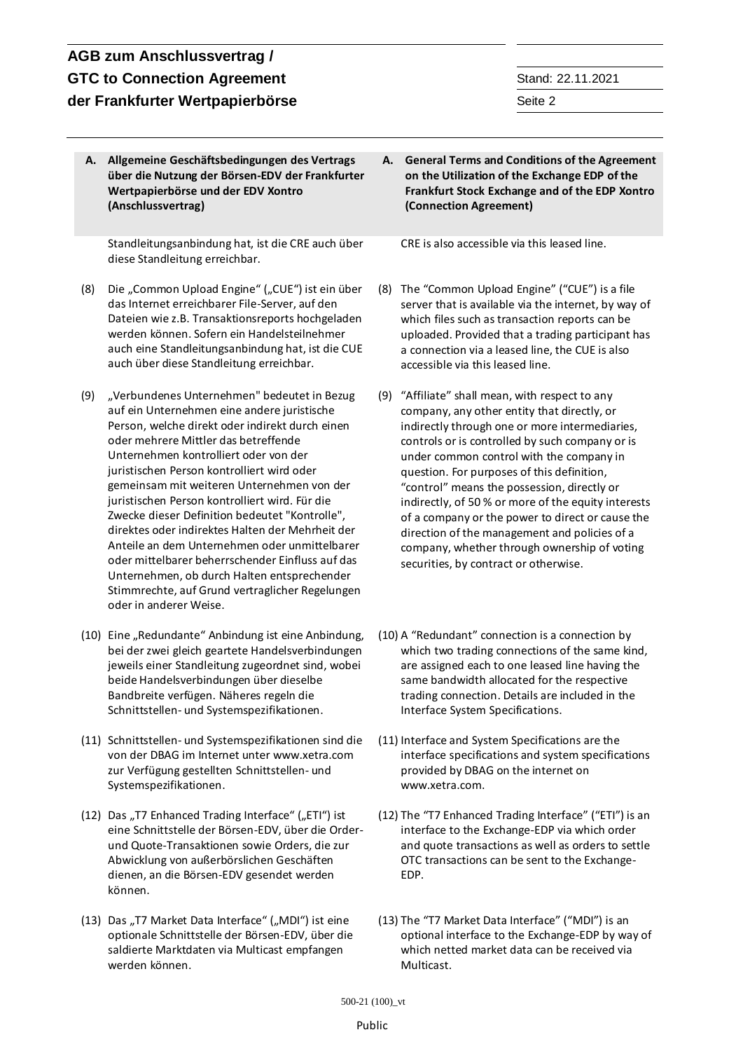# **AGB zum Anschlussvertrag / GTC to Connection Agreement** Stand: 22.11.2021 **der Frankfurter Wertpapierbörse** Seite 2 and Seite 2 and Seite 2 and Seite 2 and Seite 2 and Seite 2 and Seite 2 and Seite 2 and Seite 2 and Seite 2 and Seite 2 and Seite 2 and Seite 2 and Seite 3 and Seite 3 and Seite 3

**A. Allgemeine Geschäftsbedingungen des Vertrags über die Nutzung der Börsen-EDV der Frankfurter Wertpapierbörse und der EDV Xontro (Anschlussvertrag)**

Standleitungsanbindung hat, ist die CRE auch über diese Standleitung erreichbar.

- (8) Die "Common Upload Engine" ("CUE") ist ein über das Internet erreichbarer File-Server, auf den Dateien wie z.B. Transaktionsreports hochgeladen werden können. Sofern ein Handelsteilnehmer auch eine Standleitungsanbindung hat, ist die CUE auch über diese Standleitung erreichbar.
- (9) "Verbundenes Unternehmen" bedeutet in Bezug auf ein Unternehmen eine andere juristische Person, welche direkt oder indirekt durch einen oder mehrere Mittler das betreffende Unternehmen kontrolliert oder von der juristischen Person kontrolliert wird oder gemeinsam mit weiteren Unternehmen von der juristischen Person kontrolliert wird. Für die Zwecke dieser Definition bedeutet "Kontrolle", direktes oder indirektes Halten der Mehrheit der Anteile an dem Unternehmen oder unmittelbarer oder mittelbarer beherrschender Einfluss auf das Unternehmen, ob durch Halten entsprechender Stimmrechte, auf Grund vertraglicher Regelungen oder in anderer Weise.
- (10) Eine "Redundante" Anbindung ist eine Anbindung, bei der zwei gleich geartete Handelsverbindungen jeweils einer Standleitung zugeordnet sind, wobei beide Handelsverbindungen über dieselbe Bandbreite verfügen. Näheres regeln die Schnittstellen- und Systemspezifikationen.
- (11) Schnittstellen- und Systemspezifikationen sind die von der DBAG im Internet unter www.xetra.com zur Verfügung gestellten Schnittstellen- und Systemspezifikationen.
- (12) Das "T7 Enhanced Trading Interface" ("ETI") ist eine Schnittstelle der Börsen-EDV, über die Orderund Quote-Transaktionen sowie Orders, die zur Abwicklung von außerbörslichen Geschäften dienen, an die Börsen-EDV gesendet werden können.
- (13) Das "T7 Market Data Interface" ("MDI") ist eine optionale Schnittstelle der Börsen-EDV, über die saldierte Marktdaten via Multicast empfangen werden können.

**A. General Terms and Conditions of the Agreement on the Utilization of the Exchange EDP of the Frankfurt Stock Exchange and of the EDP Xontro (Connection Agreement)**

CRE is also accessible via this leased line.

- (8) The "Common Upload Engine" ("CUE") is a file server that is available via the internet, by way of which files such as transaction reports can be uploaded. Provided that a trading participant has a connection via a leased line, the CUE is also accessible via this leased line.
- (9) "Affiliate" shall mean, with respect to any company, any other entity that directly, or indirectly through one or more intermediaries, controls or is controlled by such company or is under common control with the company in question. For purposes of this definition, "control" means the possession, directly or indirectly, of 50 % or more of the equity interests of a company or the power to direct or cause the direction of the management and policies of a company, whether through ownership of voting securities, by contract or otherwise.
- (10) A "Redundant" connection is a connection by which two trading connections of the same kind, are assigned each to one leased line having the same bandwidth allocated for the respective trading connection. Details are included in the Interface System Specifications.
- (11) Interface and System Specifications are the interface specifications and system specifications provided by DBAG on the internet on www.xetra.com.
- (12) The "T7 Enhanced Trading Interface" ("ETI") is an interface to the Exchange-EDP via which order and quote transactions as well as orders to settle OTC transactions can be sent to the Exchange-EDP.
- (13) The "T7 Market Data Interface" ("MDI") is an optional interface to the Exchange-EDP by way of which netted market data can be received via Multicast.

### Public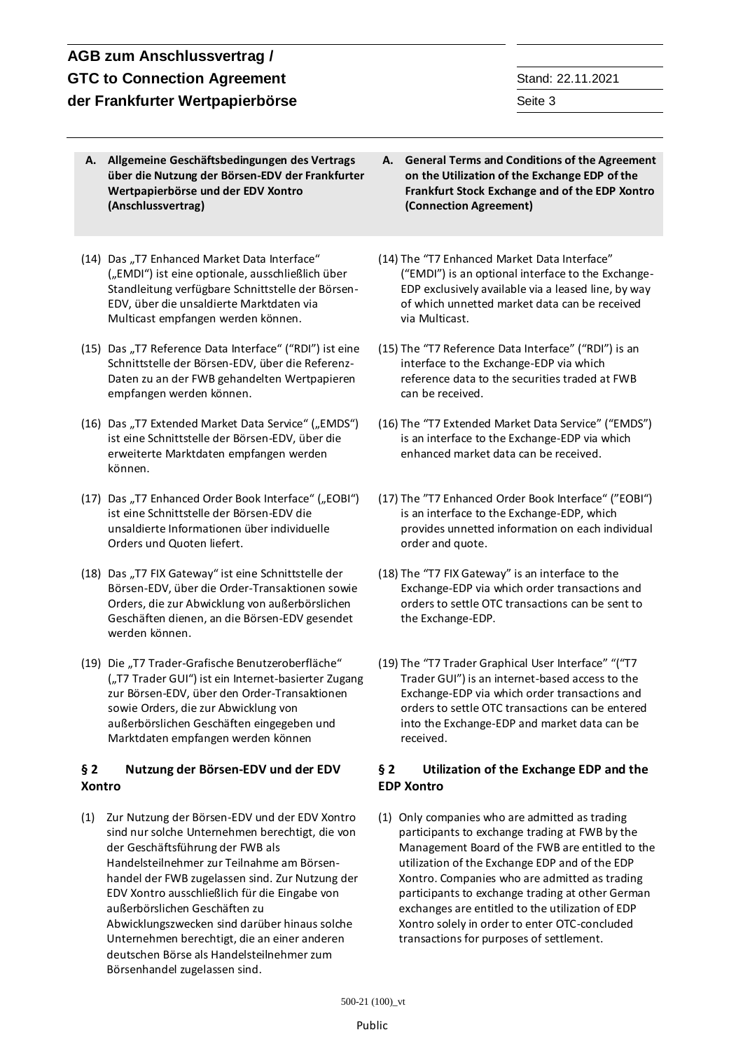- **A. Allgemeine Geschäftsbedingungen des Vertrags über die Nutzung der Börsen-EDV der Frankfurter Wertpapierbörse und der EDV Xontro (Anschlussvertrag)**
- (14) Das "T7 Enhanced Market Data Interface" ("EMDI") ist eine optionale, ausschließlich über Standleitung verfügbare Schnittstelle der Börsen-EDV, über die unsaldierte Marktdaten via Multicast empfangen werden können.
- (15) Das "T7 Reference Data Interface" ("RDI") ist eine Schnittstelle der Börsen-EDV, über die Referenz-Daten zu an der FWB gehandelten Wertpapieren empfangen werden können.
- (16) Das "T7 Extended Market Data Service" ("EMDS") ist eine Schnittstelle der Börsen-EDV, über die erweiterte Marktdaten empfangen werden können.
- (17) Das "T7 Enhanced Order Book Interface" ("EOBI") ist eine Schnittstelle der Börsen-EDV die unsaldierte Informationen über individuelle Orders und Quoten liefert.
- (18) Das "T7 FIX Gateway" ist eine Schnittstelle der Börsen-EDV, über die Order-Transaktionen sowie Orders, die zur Abwicklung von außerbörslichen Geschäften dienen, an die Börsen-EDV gesendet werden können.
- (19) Die "T7 Trader-Grafische Benutzeroberfläche" ("T7 Trader GUI") ist ein Internet-basierter Zugang zur Börsen-EDV, über den Order-Transaktionen sowie Orders, die zur Abwicklung von außerbörslichen Geschäften eingegeben und Marktdaten empfangen werden können

## **§ 2 Nutzung der Börsen-EDV und der EDV Xontro**

(1) Zur Nutzung der Börsen-EDV und der EDV Xontro sind nur solche Unternehmen berechtigt, die von der Geschäftsführung der FWB als Handelsteilnehmer zur Teilnahme am Börsenhandel der FWB zugelassen sind. Zur Nutzung der EDV Xontro ausschließlich für die Eingabe von außerbörslichen Geschäften zu Abwicklungszwecken sind darüber hinaus solche Unternehmen berechtigt, die an einer anderen

deutschen Börse als Handelsteilnehmer zum Börsenhandel zugelassen sind.

- **A. General Terms and Conditions of the Agreement on the Utilization of the Exchange EDP of the Frankfurt Stock Exchange and of the EDP Xontro (Connection Agreement)**
- (14) The "T7 Enhanced Market Data Interface" ("EMDI") is an optional interface to the Exchange-EDP exclusively available via a leased line, by way of which unnetted market data can be received via Multicast.
- (15) The "T7 Reference Data Interface" ("RDI") is an interface to the Exchange-EDP via which reference data to the securities traded at FWB can be received.
- (16) The "T7 Extended Market Data Service" ("EMDS") is an interface to the Exchange-EDP via which enhanced market data can be received.
- (17) The "T7 Enhanced Order Book Interface" ("EOBI") is an interface to the Exchange-EDP, which provides unnetted information on each individual order and quote.
- (18) The "T7 FIX Gateway" is an interface to the Exchange-EDP via which order transactions and orders to settle OTC transactions can be sent to the Exchange-EDP.
- (19) The "T7 Trader Graphical User Interface" "("T7 Trader GUI") is an internet-based access to the Exchange-EDP via which order transactions and orders to settle OTC transactions can be entered into the Exchange-EDP and market data can be received.

## **§ 2 Utilization of the Exchange EDP and the EDP Xontro**

(1) Only companies who are admitted as trading participants to exchange trading at FWB by the Management Board of the FWB are entitled to the utilization of the Exchange EDP and of the EDP Xontro. Companies who are admitted as trading participants to exchange trading at other German exchanges are entitled to the utilization of EDP Xontro solely in order to enter OTC-concluded transactions for purposes of settlement.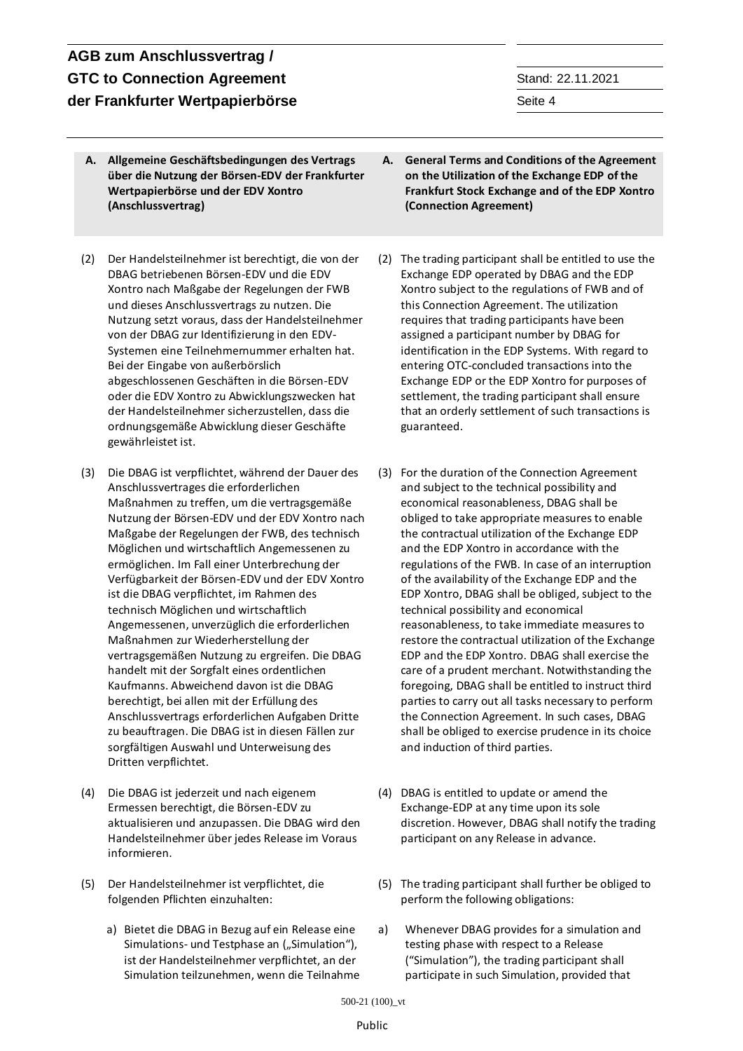### 500-21 (100)\_vt

### Public

## **AGB zum Anschlussvertrag / GTC to Connection Agreement** Stand: 22.11.2021 **der Frankfurter Wertpapierbörse** Seite 4 and Seite 4 and Seite 4 and Seite 4 and Seite 4 and Seite 4 and Seite 4 and Seite 4 and Seite 4 and Seite 4 and Seite 4 and Seite 4 and Seite 4 and Seite 4 and Seite 4 and Seite 4

- **A. Allgemeine Geschäftsbedingungen des Vertrags über die Nutzung der Börsen-EDV der Frankfurter Wertpapierbörse und der EDV Xontro (Anschlussvertrag)**
- (2) Der Handelsteilnehmer ist berechtigt, die von der DBAG betriebenen Börsen-EDV und die EDV Xontro nach Maßgabe der Regelungen der FWB und dieses Anschlussvertrags zu nutzen. Die Nutzung setzt voraus, dass der Handelsteilnehmer von der DBAG zur Identifizierung in den EDV-Systemen eine Teilnehmernummer erhalten hat. Bei der Eingabe von außerbörslich abgeschlossenen Geschäften in die Börsen-EDV oder die EDV Xontro zu Abwicklungszwecken hat der Handelsteilnehmer sicherzustellen, dass die ordnungsgemäße Abwicklung dieser Geschäfte gewährleistet ist.
- (3) Die DBAG ist verpflichtet, während der Dauer des Anschlussvertrages die erforderlichen Maßnahmen zu treffen, um die vertragsgemäße Nutzung der Börsen-EDV und der EDV Xontro nach Maßgabe der Regelungen der FWB, des technisch Möglichen und wirtschaftlich Angemessenen zu ermöglichen. Im Fall einer Unterbrechung der Verfügbarkeit der Börsen-EDV und der EDV Xontro ist die DBAG verpflichtet, im Rahmen des technisch Möglichen und wirtschaftlich Angemessenen, unverzüglich die erforderlichen Maßnahmen zur Wiederherstellung der vertragsgemäßen Nutzung zu ergreifen. Die DBAG handelt mit der Sorgfalt eines ordentlichen Kaufmanns. Abweichend davon ist die DBAG berechtigt, bei allen mit der Erfüllung des Anschlussvertrags erforderlichen Aufgaben Dritte zu beauftragen. Die DBAG ist in diesen Fällen zur sorgfältigen Auswahl und Unterweisung des Dritten verpflichtet.
- (4) Die DBAG ist jederzeit und nach eigenem Ermessen berechtigt, die Börsen-EDV zu aktualisieren und anzupassen. Die DBAG wird den Handelsteilnehmer über jedes Release im Voraus informieren.
- (5) Der Handelsteilnehmer ist verpflichtet, die folgenden Pflichten einzuhalten:
	- a) Bietet die DBAG in Bezug auf ein Release eine Simulations- und Testphase an ("Simulation"), ist der Handelsteilnehmer verpflichtet, an der Simulation teilzunehmen, wenn die Teilnahme
- **A. General Terms and Conditions of the Agreement on the Utilization of the Exchange EDP of the Frankfurt Stock Exchange and of the EDP Xontro (Connection Agreement)**
- (2) The trading participant shall be entitled to use the Exchange EDP operated by DBAG and the EDP Xontro subject to the regulations of FWB and of this Connection Agreement. The utilization requires that trading participants have been assigned a participant number by DBAG for identification in the EDP Systems. With regard to entering OTC-concluded transactions into the Exchange EDP or the EDP Xontro for purposes of settlement, the trading participant shall ensure that an orderly settlement of such transactions is guaranteed.
- (3) For the duration of the Connection Agreement and subject to the technical possibility and economical reasonableness, DBAG shall be obliged to take appropriate measures to enable the contractual utilization of the Exchange EDP and the EDP Xontro in accordance with the regulations of the FWB. In case of an interruption of the availability of the Exchange EDP and the EDP Xontro, DBAG shall be obliged, subject to the technical possibility and economical reasonableness, to take immediate measures to restore the contractual utilization of the Exchange EDP and the EDP Xontro. DBAG shall exercise the care of a prudent merchant. Notwithstanding the foregoing, DBAG shall be entitled to instruct third parties to carry out all tasks necessary to perform the Connection Agreement. In such cases, DBAG shall be obliged to exercise prudence in its choice and induction of third parties.
- (4) DBAG is entitled to update or amend the Exchange-EDP at any time upon its sole discretion. However, DBAG shall notify the trading participant on any Release in advance.
- (5) The trading participant shall further be obliged to perform the following obligations:
- a) Whenever DBAG provides for a simulation and testing phase with respect to a Release ("Simulation"), the trading participant shall participate in such Simulation, provided that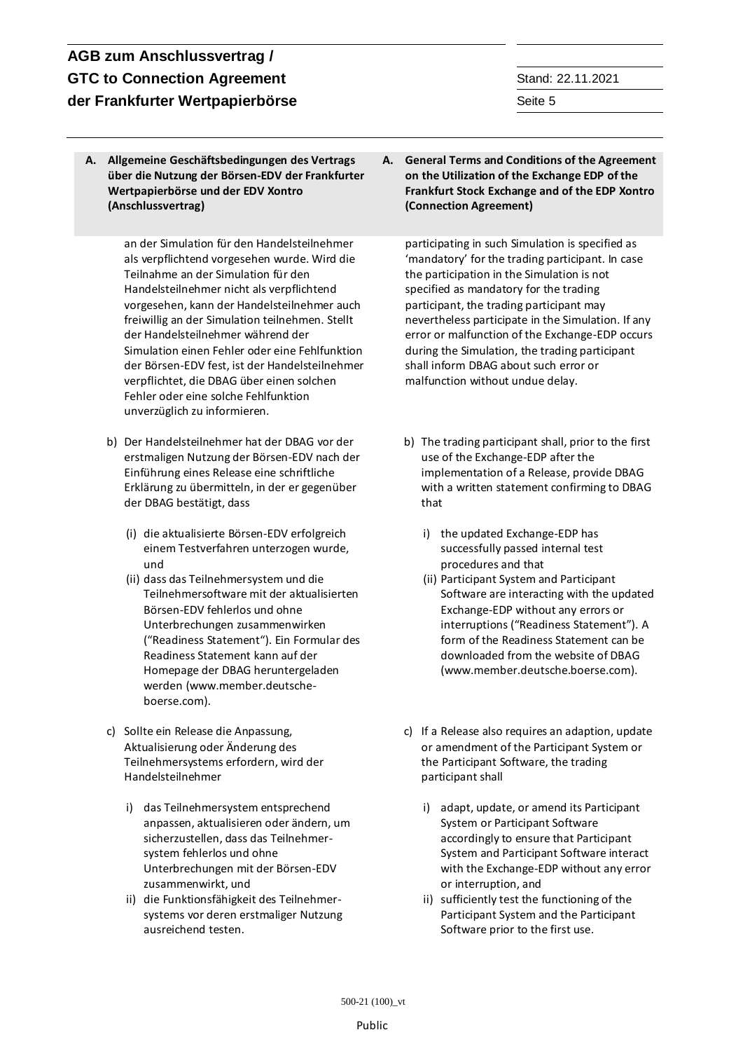**A. Allgemeine Geschäftsbedingungen des Vertrags über die Nutzung der Börsen-EDV der Frankfurter Wertpapierbörse und der EDV Xontro (Anschlussvertrag)**

> an der Simulation für den Handelsteilnehmer als verpflichtend vorgesehen wurde. Wird die Teilnahme an der Simulation für den Handelsteilnehmer nicht als verpflichtend vorgesehen, kann der Handelsteilnehmer auch freiwillig an der Simulation teilnehmen. Stellt der Handelsteilnehmer während der Simulation einen Fehler oder eine Fehlfunktion der Börsen-EDV fest, ist der Handelsteilnehmer verpflichtet, die DBAG über einen solchen Fehler oder eine solche Fehlfunktion unverzüglich zu informieren.

- b) Der Handelsteilnehmer hat der DBAG vor der erstmaligen Nutzung der Börsen-EDV nach der Einführung eines Release eine schriftliche Erklärung zu übermitteln, in der er gegenüber der DBAG bestätigt, dass
	- (i) die aktualisierte Börsen-EDV erfolgreich einem Testverfahren unterzogen wurde, und
	- (ii) dass das Teilnehmersystem und die Teilnehmersoftware mit der aktualisierten Börsen-EDV fehlerlos und ohne Unterbrechungen zusammenwirken ("Readiness Statement"). Ein Formular des Readiness Statement kann auf der Homepage der DBAG heruntergeladen werden (www.member.deutscheboerse.com).
- c) Sollte ein Release die Anpassung, Aktualisierung oder Änderung des Teilnehmersystems erfordern, wird der Handelsteilnehmer
	- i) das Teilnehmersystem entsprechend anpassen, aktualisieren oder ändern, um sicherzustellen, dass das Teilnehmersystem fehlerlos und ohne Unterbrechungen mit der Börsen-EDV zusammenwirkt, und
	- ii) die Funktionsfähigkeit des Teilnehmersystems vor deren erstmaliger Nutzung ausreichend testen.

**A. General Terms and Conditions of the Agreement on the Utilization of the Exchange EDP of the Frankfurt Stock Exchange and of the EDP Xontro (Connection Agreement)**

participating in such Simulation is specified as 'mandatory' for the trading participant. In case the participation in the Simulation is not specified as mandatory for the trading participant, the trading participant may nevertheless participate in the Simulation. If any error or malfunction of the Exchange-EDP occurs during the Simulation, the trading participant shall inform DBAG about such error or malfunction without undue delay.

- b) The trading participant shall, prior to the first use of the Exchange-EDP after the implementation of a Release, provide DBAG with a written statement confirming to DBAG that
	- i) the updated Exchange-EDP has successfully passed internal test procedures and that
	- (ii) Participant System and Participant Software are interacting with the updated Exchange-EDP without any errors or interruptions ("Readiness Statement"). A form of the Readiness Statement can be downloaded from the website of DBAG (www.member.deutsche.boerse.com).
- c) If a Release also requires an adaption, update or amendment of the Participant System or the Participant Software, the trading participant shall
	- i) adapt, update, or amend its Participant System or Participant Software accordingly to ensure that Participant System and Participant Software interact with the Exchange-EDP without any error or interruption, and
	- ii) sufficiently test the functioning of the Participant System and the Participant Software prior to the first use.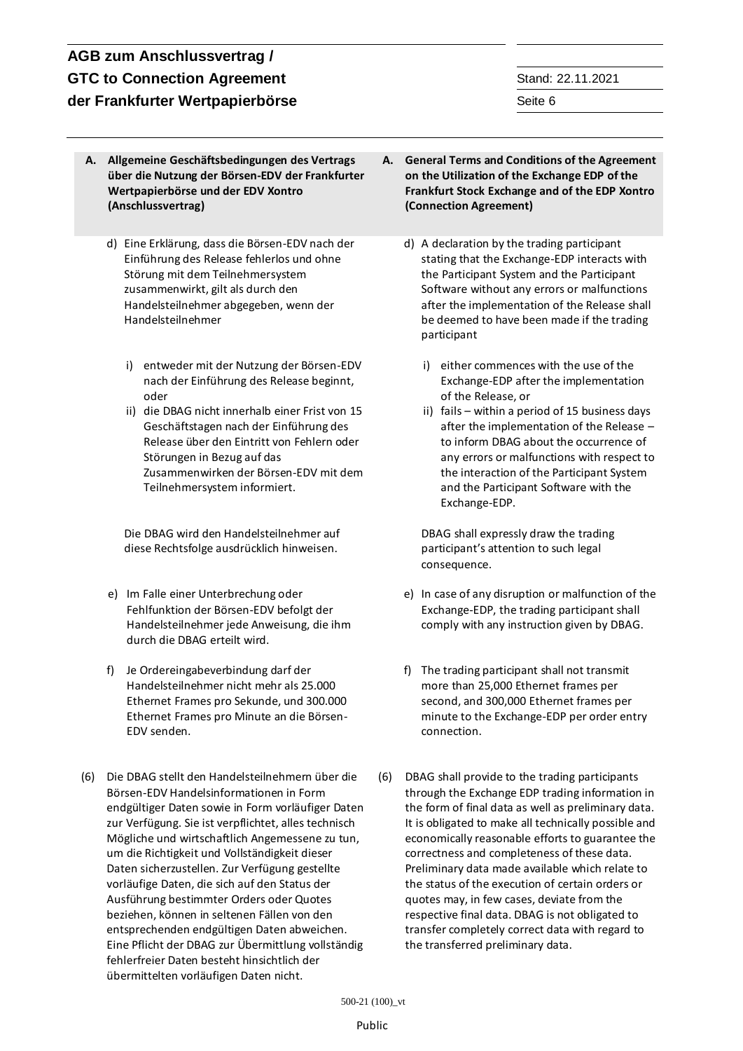# **AGB zum Anschlussvertrag / GTC to Connection Agreement Stand: 22.11.2021 der Frankfurter Wertpapierbörse** Seite 6 Seite 6 Seite 6 Seite 6 Seite 6 Seite 6 Seite 6 Seite 6 Seite 6 Seite 6 Seite 6 Seite 6 Seite 6 Seite 6 Seite 6 Seite 6 Seite 6 Seite 6 Seite 6 Seite 6 Seite 6 Seite 6 Seite 6 Seit

- **A. Allgemeine Geschäftsbedingungen des Vertrags über die Nutzung der Börsen-EDV der Frankfurter Wertpapierbörse und der EDV Xontro (Anschlussvertrag)**
	- d) Eine Erklärung, dass die Börsen-EDV nach der Einführung des Release fehlerlos und ohne Störung mit dem Teilnehmersystem zusammenwirkt, gilt als durch den Handelsteilnehmer abgegeben, wenn der Handelsteilnehmer
		- i) entweder mit der Nutzung der Börsen-EDV nach der Einführung des Release beginnt, oder
		- ii) die DBAG nicht innerhalb einer Frist von 15 Geschäftstagen nach der Einführung des Release über den Eintritt von Fehlern oder Störungen in Bezug auf das Zusammenwirken der Börsen-EDV mit dem Teilnehmersystem informiert.

Die DBAG wird den Handelsteilnehmer auf diese Rechtsfolge ausdrücklich hinweisen.

- e) Im Falle einer Unterbrechung oder Fehlfunktion der Börsen-EDV befolgt der Handelsteilnehmer jede Anweisung, die ihm durch die DBAG erteilt wird.
- f) Je Ordereingabeverbindung darf der Handelsteilnehmer nicht mehr als 25.000 Ethernet Frames pro Sekunde, und 300.000 Ethernet Frames pro Minute an die Börsen-EDV senden.
- (6) Die DBAG stellt den Handelsteilnehmern über die Börsen-EDV Handelsinformationen in Form endgültiger Daten sowie in Form vorläufiger Daten zur Verfügung. Sie ist verpflichtet, alles technisch Mögliche und wirtschaftlich Angemessene zu tun, um die Richtigkeit und Vollständigkeit dieser Daten sicherzustellen. Zur Verfügung gestellte vorläufige Daten, die sich auf den Status der Ausführung bestimmter Orders oder Quotes beziehen, können in seltenen Fällen von den entsprechenden endgültigen Daten abweichen. Eine Pflicht der DBAG zur Übermittlung vollständig fehlerfreier Daten besteht hinsichtlich der übermittelten vorläufigen Daten nicht.
- **A. General Terms and Conditions of the Agreement on the Utilization of the Exchange EDP of the Frankfurt Stock Exchange and of the EDP Xontro (Connection Agreement)**
	- d) A declaration by the trading participant stating that the Exchange-EDP interacts with the Participant System and the Participant Software without any errors or malfunctions after the implementation of the Release shall be deemed to have been made if the trading participant
		- i) either commences with the use of the Exchange-EDP after the implementation of the Release, or
		- ii) fails within a period of 15 business days after the implementation of the Release – to inform DBAG about the occurrence of any errors or malfunctions with respect to the interaction of the Participant System and the Participant Software with the Exchange-EDP.

DBAG shall expressly draw the trading participant's attention to such legal consequence.

- e) In case of any disruption or malfunction of the Exchange-EDP, the trading participant shall comply with any instruction given by DBAG.
- f) The trading participant shall not transmit more than 25,000 Ethernet frames per second, and 300,000 Ethernet frames per minute to the Exchange-EDP per order entry connection.
- (6) DBAG shall provide to the trading participants through the Exchange EDP trading information in the form of final data as well as preliminary data. It is obligated to make all technically possible and economically reasonable efforts to guarantee the correctness and completeness of these data. Preliminary data made available which relate to the status of the execution of certain orders or quotes may, in few cases, deviate from the respective final data. DBAG is not obligated to transfer completely correct data with regard to the transferred preliminary data.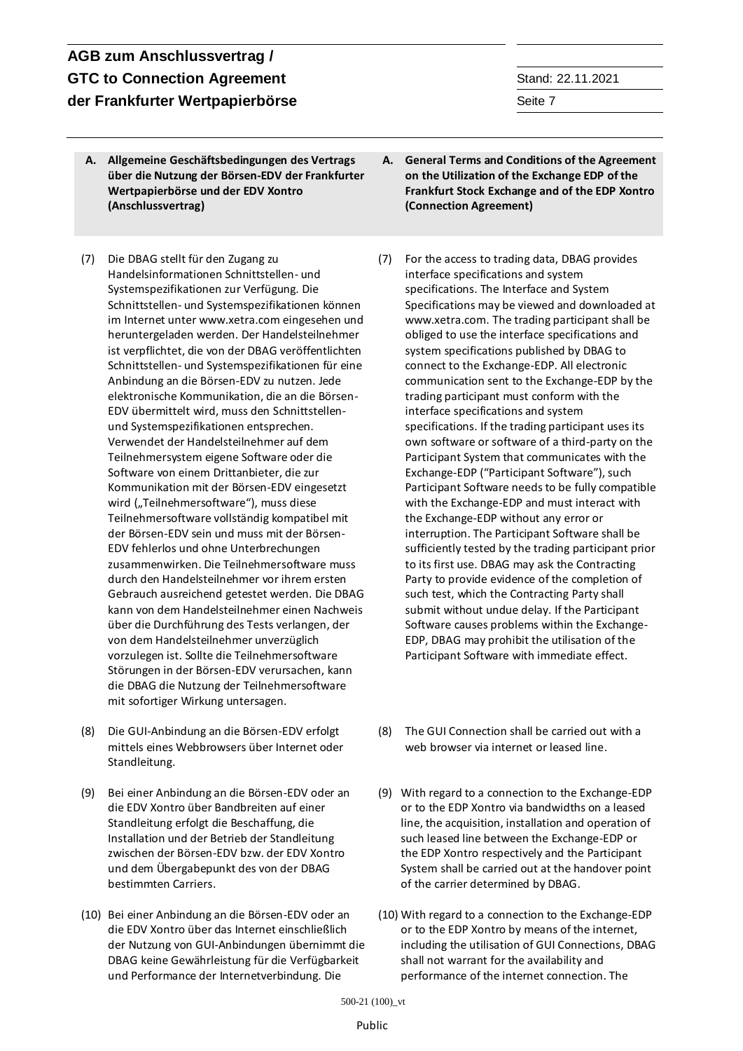- **A. Allgemeine Geschäftsbedingungen des Vertrags über die Nutzung der Börsen-EDV der Frankfurter Wertpapierbörse und der EDV Xontro (Anschlussvertrag)**
- (7) Die DBAG stellt für den Zugang zu Handelsinformationen Schnittstellen- und Systemspezifikationen zur Verfügung. Die Schnittstellen- und Systemspezifikationen können im Internet unte[r www.xetra.com](http://www.xetra.com/) eingesehen und heruntergeladen werden. Der Handelsteilnehmer ist verpflichtet, die von der DBAG veröffentlichten Schnittstellen- und Systemspezifikationen für eine Anbindung an die Börsen-EDV zu nutzen. Jede elektronische Kommunikation, die an die Börsen-EDV übermittelt wird, muss den Schnittstellenund Systemspezifikationen entsprechen. Verwendet der Handelsteilnehmer auf dem Teilnehmersystem eigene Software oder die Software von einem Drittanbieter, die zur Kommunikation mit der Börsen-EDV eingesetzt wird ("Teilnehmersoftware"), muss diese Teilnehmersoftware vollständig kompatibel mit der Börsen-EDV sein und muss mit der Börsen-EDV fehlerlos und ohne Unterbrechungen zusammenwirken. Die Teilnehmersoftware muss durch den Handelsteilnehmer vor ihrem ersten Gebrauch ausreichend getestet werden. Die DBAG kann von dem Handelsteilnehmer einen Nachweis über die Durchführung des Tests verlangen, der von dem Handelsteilnehmer unverzüglich vorzulegen ist. Sollte die Teilnehmersoftware Störungen in der Börsen-EDV verursachen, kann die DBAG die Nutzung der Teilnehmersoftware mit sofortiger Wirkung untersagen.
- (8) Die GUI-Anbindung an die Börsen-EDV erfolgt mittels eines Webbrowsers über Internet oder Standleitung.
- (9) Bei einer Anbindung an die Börsen-EDV oder an die EDV Xontro über Bandbreiten auf einer Standleitung erfolgt die Beschaffung, die Installation und der Betrieb der Standleitung zwischen der Börsen-EDV bzw. der EDV Xontro und dem Übergabepunkt des von der DBAG bestimmten Carriers.
- (10) Bei einer Anbindung an die Börsen-EDV oder an die EDV Xontro über das Internet einschließlich der Nutzung von GUI-Anbindungen übernimmt die DBAG keine Gewährleistung für die Verfügbarkeit und Performance der Internetverbindung. Die
- **A. General Terms and Conditions of the Agreement on the Utilization of the Exchange EDP of the Frankfurt Stock Exchange and of the EDP Xontro (Connection Agreement)**
- (7) For the access to trading data, DBAG provides interface specifications and system specifications. The Interface and System Specifications may be viewed and downloaded at [www.xetra.com.](http://www.xetra.com/) The trading participant shall be obliged to use the interface specifications and system specifications published by DBAG to connect to the Exchange-EDP. All electronic communication sent to the Exchange-EDP by the trading participant must conform with the interface specifications and system specifications. If the trading participant uses its own software or software of a third-party on the Participant System that communicates with the Exchange-EDP ("Participant Software"), such Participant Software needs to be fully compatible with the Exchange-EDP and must interact with the Exchange-EDP without any error or interruption. The Participant Software shall be sufficiently tested by the trading participant prior to its first use. DBAG may ask the Contracting Party to provide evidence of the completion of such test, which the Contracting Party shall submit without undue delay. If the Participant Software causes problems within the Exchange-EDP, DBAG may prohibit the utilisation of the Participant Software with immediate effect.
- (8) The GUI Connection shall be carried out with a web browser via internet or leased line.
- (9) With regard to a connection to the Exchange-EDP or to the EDP Xontro via bandwidths on a leased line, the acquisition, installation and operation of such leased line between the Exchange-EDP or the EDP Xontro respectively and the Participant System shall be carried out at the handover point of the carrier determined by DBAG.
- (10) With regard to a connection to the Exchange-EDP or to the EDP Xontro by means of the internet, including the utilisation of GUI Connections, DBAG shall not warrant for the availability and performance of the internet connection. The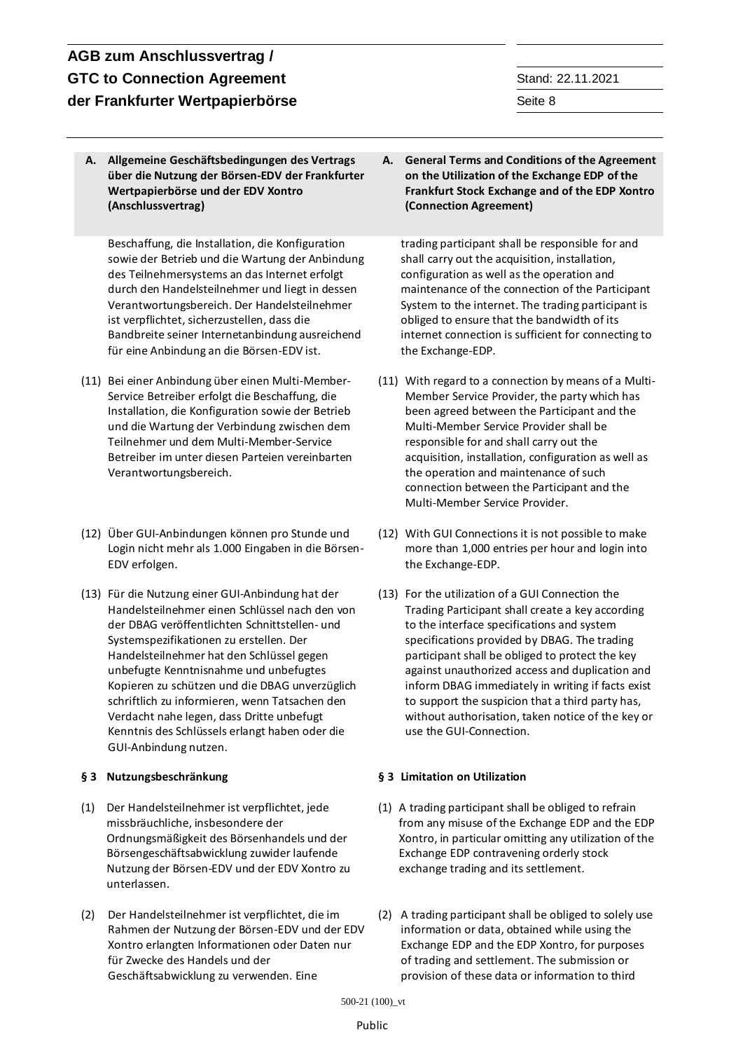**A. Allgemeine Geschäftsbedingungen des Vertrags über die Nutzung der Börsen-EDV der Frankfurter Wertpapierbörse und der EDV Xontro (Anschlussvertrag)**

Beschaffung, die Installation, die Konfiguration sowie der Betrieb und die Wartung der Anbindung des Teilnehmersystems an das Internet erfolgt durch den Handelsteilnehmer und liegt in dessen Verantwortungsbereich. Der Handelsteilnehmer ist verpflichtet, sicherzustellen, dass die Bandbreite seiner Internetanbindung ausreichend für eine Anbindung an die Börsen-EDV ist.

- (11) Bei einer Anbindung über einen Multi-Member-Service Betreiber erfolgt die Beschaffung, die Installation, die Konfiguration sowie der Betrieb und die Wartung der Verbindung zwischen dem Teilnehmer und dem Multi-Member-Service Betreiber im unter diesen Parteien vereinbarten Verantwortungsbereich.
- (12) Über GUI-Anbindungen können pro Stunde und Login nicht mehr als 1.000 Eingaben in die Börsen-EDV erfolgen.
- (13) Für die Nutzung einer GUI-Anbindung hat der Handelsteilnehmer einen Schlüssel nach den von der DBAG veröffentlichten Schnittstellen- und Systemspezifikationen zu erstellen. Der Handelsteilnehmer hat den Schlüssel gegen unbefugte Kenntnisnahme und unbefugtes Kopieren zu schützen und die DBAG unverzüglich schriftlich zu informieren, wenn Tatsachen den Verdacht nahe legen, dass Dritte unbefugt Kenntnis des Schlüssels erlangt haben oder die GUI-Anbindung nutzen.

- (1) Der Handelsteilnehmer ist verpflichtet, jede missbräuchliche, insbesondere der Ordnungsmäßigkeit des Börsenhandels und der Börsengeschäftsabwicklung zuwider laufende Nutzung der Börsen-EDV und der EDV Xontro zu unterlassen.
- (2) Der Handelsteilnehmer ist verpflichtet, die im Rahmen der Nutzung der Börsen-EDV und der EDV Xontro erlangten Informationen oder Daten nur für Zwecke des Handels und der Geschäftsabwicklung zu verwenden. Eine

**A. General Terms and Conditions of the Agreement on the Utilization of the Exchange EDP of the Frankfurt Stock Exchange and of the EDP Xontro (Connection Agreement)**

trading participant shall be responsible for and shall carry out the acquisition, installation, configuration as well as the operation and maintenance of the connection of the Participant System to the internet. The trading participant is obliged to ensure that the bandwidth of its internet connection is sufficient for connecting to the Exchange-EDP.

- (11) With regard to a connection by means of a Multi-Member Service Provider, the party which has been agreed between the Participant and the Multi-Member Service Provider shall be responsible for and shall carry out the acquisition, installation, configuration as well as the operation and maintenance of such connection between the Participant and the Multi-Member Service Provider.
- (12) With GUI Connections it is not possible to make more than 1,000 entries per hour and login into the Exchange-EDP.
- (13) For the utilization of a GUI Connection the Trading Participant shall create a key according to the interface specifications and system specifications provided by DBAG. The trading participant shall be obliged to protect the key against unauthorized access and duplication and inform DBAG immediately in writing if facts exist to support the suspicion that a third party has, without authorisation, taken notice of the key or use the GUI-Connection.

## **§ 3 Nutzungsbeschränkung § 3 Limitation on Utilization**

- (1) A trading participant shall be obliged to refrain from any misuse of the Exchange EDP and the EDP Xontro, in particular omitting any utilization of the Exchange EDP contravening orderly stock exchange trading and its settlement.
- (2) A trading participant shall be obliged to solely use information or data, obtained while using the Exchange EDP and the EDP Xontro, for purposes of trading and settlement. The submission or provision of these data or information to third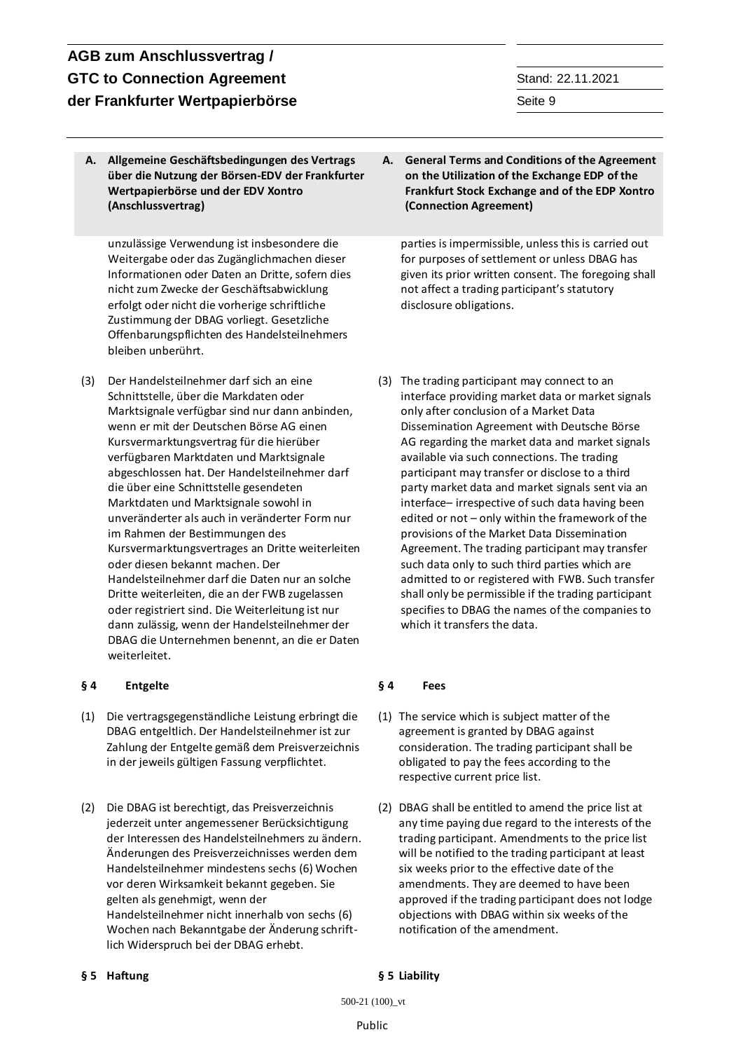# **AGB zum Anschlussvertrag / GTC to Connection Agreement** Stand: 22.11.2021 **der Frankfurter Wertpapierbörse** Seite 9 Seite 9 Seite 9 Seite 9 Seite 9 Seite 9 Seite 9 Seite 9 Seite 9 Seite 9 Seite 9 Seite 9 Seite 9 Seite 9 Seite 9 Seite 9 Seite 9 Seite 9 Seite 9 Seite 9 Seite 9 Seite 9 Seite 9 Seit

**A. Allgemeine Geschäftsbedingungen des Vertrags über die Nutzung der Börsen-EDV der Frankfurter Wertpapierbörse und der EDV Xontro (Anschlussvertrag)**

unzulässige Verwendung ist insbesondere die Weitergabe oder das Zugänglichmachen dieser Informationen oder Daten an Dritte, sofern dies nicht zum Zwecke der Geschäftsabwicklung erfolgt oder nicht die vorherige schriftliche Zustimmung der DBAG vorliegt. Gesetzliche Offenbarungspflichten des Handelsteilnehmers bleiben unberührt.

(3) Der Handelsteilnehmer darf sich an eine Schnittstelle, über die Markdaten oder Marktsignale verfügbar sind nur dann anbinden, wenn er mit der Deutschen Börse AG einen Kursvermarktungsvertrag für die hierüber verfügbaren Marktdaten und Marktsignale abgeschlossen hat. Der Handelsteilnehmer darf die über eine Schnittstelle gesendeten Marktdaten und Marktsignale sowohl in unveränderter als auch in veränderter Form nur im Rahmen der Bestimmungen des Kursvermarktungsvertrages an Dritte weiterleiten oder diesen bekannt machen. Der Handelsteilnehmer darf die Daten nur an solche Dritte weiterleiten, die an der FWB zugelassen oder registriert sind. Die Weiterleitung ist nur dann zulässig, wenn der Handelsteilnehmer der DBAG die Unternehmen benennt, an die er Daten weiterleitet.

### **§ 4 Entgelte § 4 Fees**

- (1) Die vertragsgegenständliche Leistung erbringt die DBAG entgeltlich. Der Handelsteilnehmer ist zur Zahlung der Entgelte gemäß dem Preisverzeichnis in der jeweils gültigen Fassung verpflichtet.
- (2) Die DBAG ist berechtigt, das Preisverzeichnis jederzeit unter angemessener Berücksichtigung der Interessen des Handelsteilnehmers zu ändern. Änderungen des Preisverzeichnisses werden dem Handelsteilnehmer mindestens sechs (6) Wochen vor deren Wirksamkeit bekannt gegeben. Sie gelten als genehmigt, wenn der Handelsteilnehmer nicht innerhalb von sechs (6) Wochen nach Bekanntgabe der Änderung schriftlich Widerspruch bei der DBAG erhebt.

**A. General Terms and Conditions of the Agreement on the Utilization of the Exchange EDP of the Frankfurt Stock Exchange and of the EDP Xontro (Connection Agreement)**

parties is impermissible, unless this is carried out for purposes of settlement or unless DBAG has given its prior written consent. The foregoing shall not affect a trading participant's statutory disclosure obligations.

(3) The trading participant may connect to an interface providing market data or market signals only after conclusion of a Market Data Dissemination Agreement with Deutsche Börse AG regarding the market data and market signals available via such connections. The trading participant may transfer or disclose to a third party market data and market signals sent via an interface– irrespective of such data having been edited or not – only within the framework of the provisions of the Market Data Dissemination Agreement. The trading participant may transfer such data only to such third parties which are admitted to or registered with FWB. Such transfer shall only be permissible if the trading participant specifies to DBAG the names of the companies to which it transfers the data.

- (1) The service which is subject matter of the agreement is granted by DBAG against consideration. The trading participant shall be obligated to pay the fees according to the respective current price list.
- (2) DBAG shall be entitled to amend the price list at any time paying due regard to the interests of the trading participant. Amendments to the price list will be notified to the trading participant at least six weeks prior to the effective date of the amendments. They are deemed to have been approved if the trading participant does not lodge objections with DBAG within six weeks of the notification of the amendment.

### **§ 5 Haftung § 5 Liability**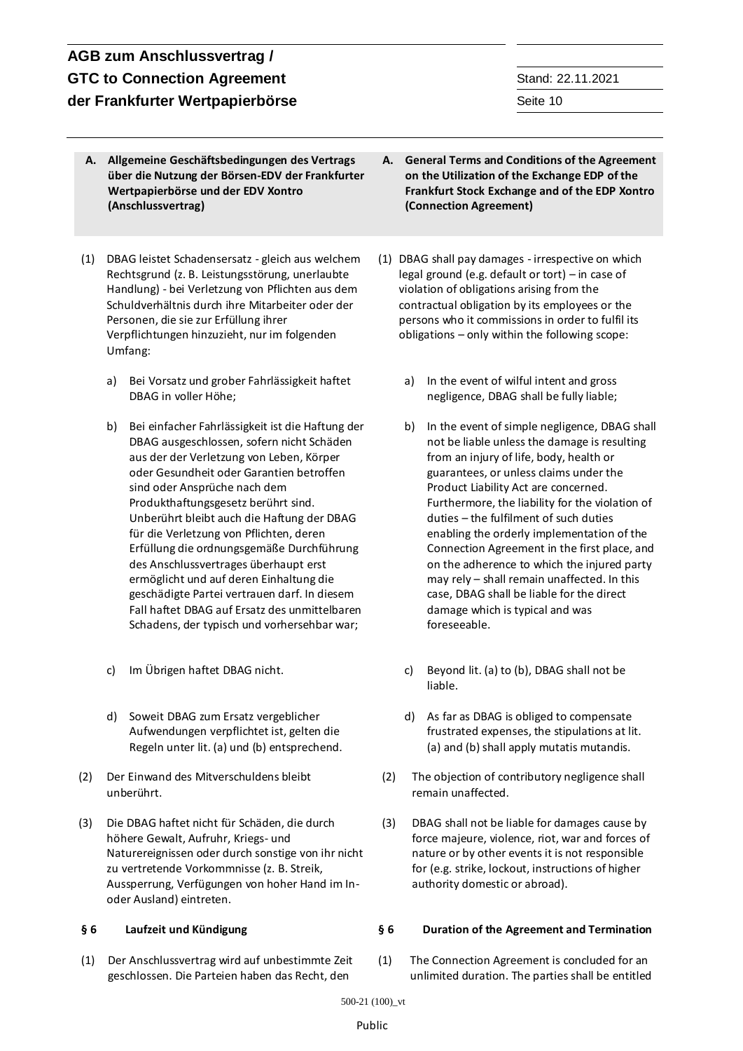- **A. Allgemeine Geschäftsbedingungen des Vertrags über die Nutzung der Börsen-EDV der Frankfurter Wertpapierbörse und der EDV Xontro (Anschlussvertrag)**
- (1) DBAG leistet Schadensersatz gleich aus welchem Rechtsgrund (z. B. Leistungsstörung, unerlaubte Handlung) - bei Verletzung von Pflichten aus dem Schuldverhältnis durch ihre Mitarbeiter oder der Personen, die sie zur Erfüllung ihrer Verpflichtungen hinzuzieht, nur im folgenden Umfang:
	- a) Bei Vorsatz und grober Fahrlässigkeit haftet DBAG in voller Höhe;
	- b) Bei einfacher Fahrlässigkeit ist die Haftung der DBAG ausgeschlossen, sofern nicht Schäden aus der der Verletzung von Leben, Körper oder Gesundheit oder Garantien betroffen sind oder Ansprüche nach dem Produkthaftungsgesetz berührt sind. Unberührt bleibt auch die Haftung der DBAG für die Verletzung von Pflichten, deren Erfüllung die ordnungsgemäße Durchführung des Anschlussvertrages überhaupt erst ermöglicht und auf deren Einhaltung die geschädigte Partei vertrauen darf. In diesem Fall haftet DBAG auf Ersatz des unmittelbaren Schadens, der typisch und vorhersehbar war;
	-
	- d) Soweit DBAG zum Ersatz vergeblicher Aufwendungen verpflichtet ist, gelten die Regeln unter lit. (a) und (b) entsprechend.
- (2) Der Einwand des Mitverschuldens bleibt unberührt.
- (3) Die DBAG haftet nicht für Schäden, die durch höhere Gewalt, Aufruhr, Kriegs- und Naturereignissen oder durch sonstige von ihr nicht zu vertretende Vorkommnisse (z. B. Streik, Aussperrung, Verfügungen von hoher Hand im Inoder Ausland) eintreten.

(1) Der Anschlussvertrag wird auf unbestimmte Zeit geschlossen. Die Parteien haben das Recht, den

- **A. General Terms and Conditions of the Agreement on the Utilization of the Exchange EDP of the Frankfurt Stock Exchange and of the EDP Xontro (Connection Agreement)**
- (1) DBAG shall pay damages irrespective on which legal ground (e.g. default or tort) – in case of violation of obligations arising from the contractual obligation by its employees or the persons who it commissions in order to fulfil its obligations – only within the following scope:
	- a) In the event of wilful intent and gross negligence, DBAG shall be fully liable;
	- b) In the event of simple negligence, DBAG shall not be liable unless the damage is resulting from an injury of life, body, health or guarantees, or unless claims under the Product Liability Act are concerned. Furthermore, the liability for the violation of duties – the fulfilment of such duties enabling the orderly implementation of the Connection Agreement in the first place, and on the adherence to which the injured party may rely – shall remain unaffected. In this case, DBAG shall be liable for the direct damage which is typical and was foreseeable.
- c) Im Übrigen haftet DBAG nicht. c) Beyond lit. (a) to (b), DBAG shall not be liable.
	- d) As far as DBAG is obliged to compensate frustrated expenses, the stipulations at lit. (a) and (b) shall apply mutatis mutandis.
	- (2) The objection of contributory negligence shall remain unaffected.
	- (3) DBAG shall not be liable for damages cause by force majeure, violence, riot, war and forces of nature or by other events it is not responsible for (e.g. strike, lockout, instructions of higher authority domestic or abroad).

### **§ 6 Laufzeit und Kündigung § 6 Duration of the Agreement and Termination**

(1) The Connection Agreement is concluded for an unlimited duration. The parties shall be entitled

### Public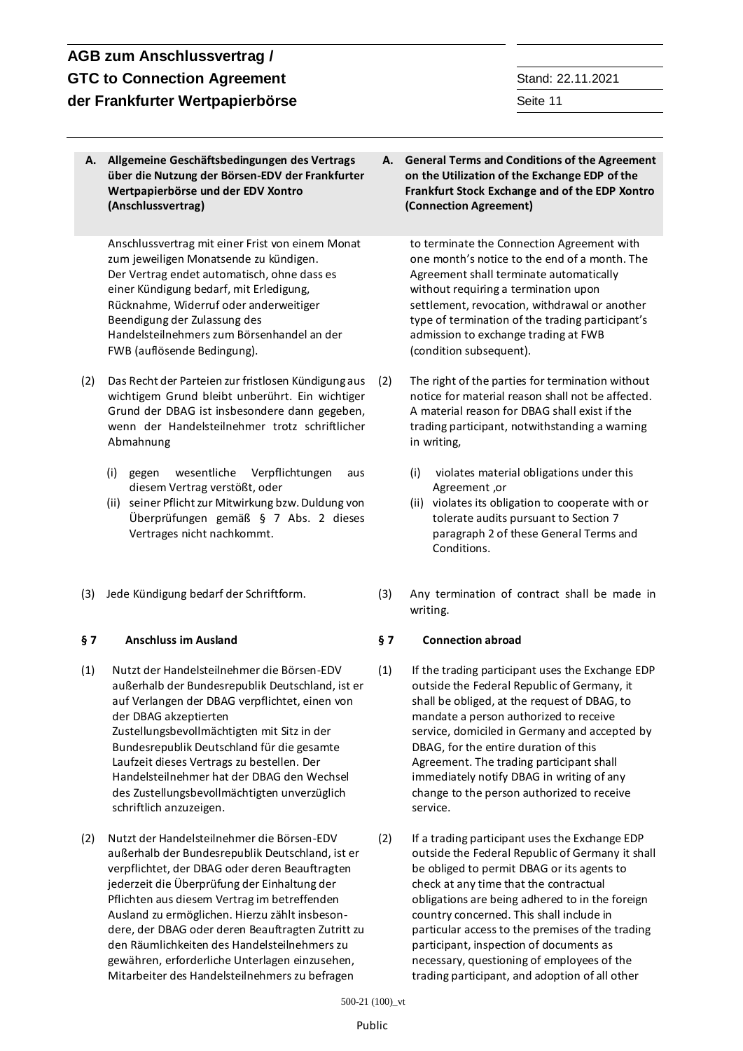**A. Allgemeine Geschäftsbedingungen des Vertrags über die Nutzung der Börsen-EDV der Frankfurter Wertpapierbörse und der EDV Xontro (Anschlussvertrag) A. General Terms and Conditions of the Agreement on the Utilization of the Exchange EDP of the Frankfurt Stock Exchange and of the EDP Xontro (Connection Agreement)** Anschlussvertrag mit einer Frist von einem Monat zum jeweiligen Monatsende zu kündigen. Der Vertrag endet automatisch, ohne dass es einer Kündigung bedarf, mit Erledigung, Rücknahme, Widerruf oder anderweitiger Beendigung der Zulassung des Handelsteilnehmers zum Börsenhandel an der FWB (auflösende Bedingung). to terminate the Connection Agreement with one month's notice to the end of a month. The Agreement shall terminate automatically without requiring a termination upon settlement, revocation, withdrawal or another type of termination of the trading participant's admission to exchange trading at FWB (condition subsequent). (2) Das Recht der Parteien zur fristlosen Kündigung aus wichtigem Grund bleibt unberührt. Ein wichtiger Grund der DBAG ist insbesondere dann gegeben, wenn der Handelsteilnehmer trotz schriftlicher Abmahnung (i) gegen wesentliche Verpflichtungen aus diesem Vertrag verstößt, oder (ii) seiner Pflicht zur Mitwirkung bzw. Duldung von Überprüfungen gemäß § 7 Abs. 2 dieses Vertrages nicht nachkommt. The right of the parties for termination without notice for material reason shall not be affected. A material reason for DBAG shall exist if the trading participant, notwithstanding a warning in writing, (i) violates material obligations under this Agreement ,or (ii) violates its obligation to cooperate with or tolerate audits pursuant to Section 7 paragraph 2 of these General Terms and Conditions. (3) Jede Kündigung bedarf der Schriftform. (3) Any termination of contract shall be made in writing. **§ 7 Anschluss im Ausland § 7 Connection abroad** (1) Nutzt der Handelsteilnehmer die Börsen-EDV außerhalb der Bundesrepublik Deutschland, ist er auf Verlangen der DBAG verpflichtet, einen von der DBAG akzeptierten Zustellungsbevollmächtigten mit Sitz in der Bundesrepublik Deutschland für die gesamte Laufzeit dieses Vertrags zu bestellen. Der Handelsteilnehmer hat der DBAG den Wechsel des Zustellungsbevollmächtigten unverzüglich schriftlich anzuzeigen. (1) If the trading participant uses the Exchange EDP outside the Federal Republic of Germany, it shall be obliged, at the request of DBAG, to mandate a person authorized to receive service, domiciled in Germany and accepted by DBAG, for the entire duration of this Agreement. The trading participant shall immediately notify DBAG in writing of any change to the person authorized to receive service. (2) Nutzt der Handelsteilnehmer die Börsen-EDV außerhalb der Bundesrepublik Deutschland, ist er verpflichtet, der DBAG oder deren Beauftragten jederzeit die Überprüfung der Einhaltung der Pflichten aus diesem Vertrag im betreffenden Ausland zu ermöglichen. Hierzu zählt insbesondere, der DBAG oder deren Beauftragten Zutritt zu den Räumlichkeiten des Handelsteilnehmers zu gewähren, erforderliche Unterlagen einzusehen, Mitarbeiter des Handelsteilnehmers zu befragen (2) If a trading participant uses the Exchange EDP outside the Federal Republic of Germany it shall be obliged to permit DBAG or its agents to check at any time that the contractual obligations are being adhered to in the foreign country concerned. This shall include in particular access to the premises of the trading participant, inspection of documents as necessary, questioning of employees of the trading participant, and adoption of all other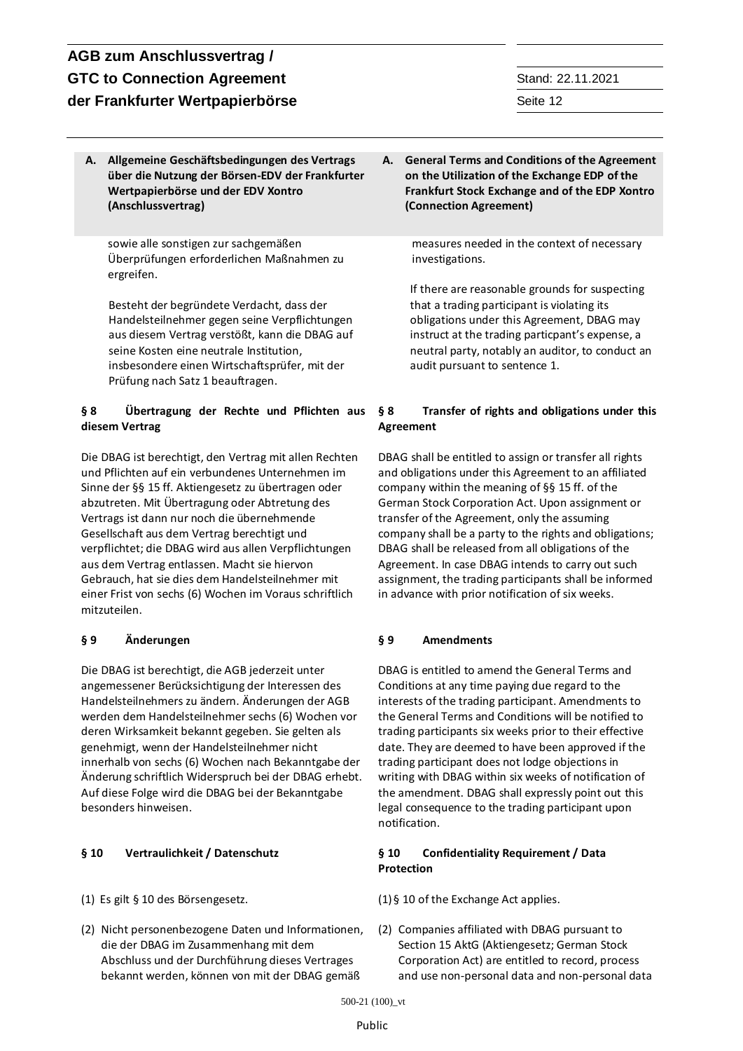**A. Allgemeine Geschäftsbedingungen des Vertrags über die Nutzung der Börsen-EDV der Frankfurter Wertpapierbörse und der EDV Xontro (Anschlussvertrag)**

sowie alle sonstigen zur sachgemäßen Überprüfungen erforderlichen Maßnahmen zu ergreifen.

Besteht der begründete Verdacht, dass der Handelsteilnehmer gegen seine Verpflichtungen aus diesem Vertrag verstößt, kann die DBAG auf seine Kosten eine neutrale Institution, insbesondere einen Wirtschaftsprüfer, mit der Prüfung nach Satz 1 beauftragen.

## **§ 8 Übertragung der Rechte und Pflichten aus diesem Vertrag**

Die DBAG ist berechtigt, den Vertrag mit allen Rechten und Pflichten auf ein verbundenes Unternehmen im Sinne der §§ 15 ff. Aktiengesetz zu übertragen oder abzutreten. Mit Übertragung oder Abtretung des Vertrags ist dann nur noch die übernehmende Gesellschaft aus dem Vertrag berechtigt und verpflichtet; die DBAG wird aus allen Verpflichtungen aus dem Vertrag entlassen. Macht sie hiervon Gebrauch, hat sie dies dem Handelsteilnehmer mit einer Frist von sechs (6) Wochen im Voraus schriftlich mitzuteilen.

Die DBAG ist berechtigt, die AGB jederzeit unter angemessener Berücksichtigung der Interessen des Handelsteilnehmers zu ändern. Änderungen der AGB werden dem Handelsteilnehmer sechs (6) Wochen vor deren Wirksamkeit bekannt gegeben. Sie gelten als genehmigt, wenn der Handelsteilnehmer nicht innerhalb von sechs (6) Wochen nach Bekanntgabe der Änderung schriftlich Widerspruch bei der DBAG erhebt. Auf diese Folge wird die DBAG bei der Bekanntgabe besonders hinweisen.

- 
- (2) Nicht personenbezogene Daten und Informationen, die der DBAG im Zusammenhang mit dem Abschluss und der Durchführung dieses Vertrages bekannt werden, können von mit der DBAG gemäß

**A. General Terms and Conditions of the Agreement on the Utilization of the Exchange EDP of the Frankfurt Stock Exchange and of the EDP Xontro (Connection Agreement)**

> measures needed in the context of necessary investigations.

If there are reasonable grounds for suspecting that a trading participant is violating its obligations under this Agreement, DBAG may instruct at the trading particpant's expense, a neutral party, notably an auditor, to conduct an audit pursuant to sentence 1.

## **§ 8 Transfer of rights and obligations under this Agreement**

DBAG shall be entitled to assign or transfer all rights and obligations under this Agreement to an affiliated company within the meaning of §§ 15 ff. of the German Stock Corporation Act. Upon assignment or transfer of the Agreement, only the assuming company shall be a party to the rights and obligations; DBAG shall be released from all obligations of the Agreement. In case DBAG intends to carry out such assignment, the trading participants shall be informed in advance with prior notification of six weeks.

## **§ 9 Änderungen § 9 Amendments**

DBAG is entitled to amend the General Terms and Conditions at any time paying due regard to the interests of the trading participant. Amendments to the General Terms and Conditions will be notified to trading participants six weeks prior to their effective date. They are deemed to have been approved if the trading participant does not lodge objections in writing with DBAG within six weeks of notification of the amendment. DBAG shall expressly point out this legal consequence to the trading participant upon notification.

### **§ 10 Vertraulichkeit / Datenschutz § 10 Confidentiality Requirement / Data Protection**

(1) Es gilt § 10 des Börsengesetz. (1)§ 10 of the Exchange Act applies.

(2) Companies affiliated with DBAG pursuant to Section 15 AktG (Aktiengesetz; German Stock Corporation Act) are entitled to record, process and use non-personal data and non-personal data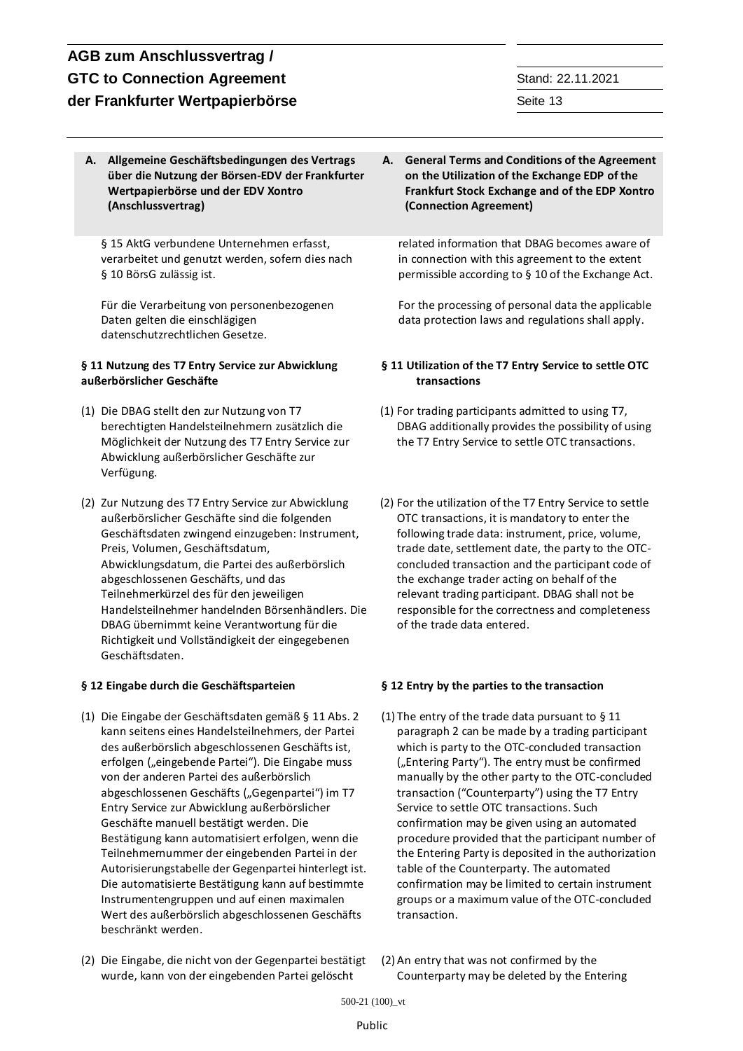**A. Allgemeine Geschäftsbedingungen des Vertrags über die Nutzung der Börsen-EDV der Frankfurter Wertpapierbörse und der EDV Xontro (Anschlussvertrag)**

§ 15 AktG verbundene Unternehmen erfasst, verarbeitet und genutzt werden, sofern dies nach § 10 BörsG zulässig ist.

Für die Verarbeitung von personenbezogenen Daten gelten die einschlägigen datenschutzrechtlichen Gesetze.

### **§ 11 Nutzung des T7 Entry Service zur Abwicklung außerbörslicher Geschäfte**

- (1) Die DBAG stellt den zur Nutzung von T7 berechtigten Handelsteilnehmern zusätzlich die Möglichkeit der Nutzung des T7 Entry Service zur Abwicklung außerbörslicher Geschäfte zur Verfügung.
- (2) Zur Nutzung des T7 Entry Service zur Abwicklung außerbörslicher Geschäfte sind die folgenden Geschäftsdaten zwingend einzugeben: Instrument, Preis, Volumen, Geschäftsdatum, Abwicklungsdatum, die Partei des außerbörslich abgeschlossenen Geschäfts, und das Teilnehmerkürzel des für den jeweiligen Handelsteilnehmer handelnden Börsenhändlers. Die DBAG übernimmt keine Verantwortung für die Richtigkeit und Vollständigkeit der eingegebenen Geschäftsdaten.

- (1) Die Eingabe der Geschäftsdaten gemäß § 11 Abs. 2 kann seitens eines Handelsteilnehmers, der Partei des außerbörslich abgeschlossenen Geschäfts ist, erfolgen ("eingebende Partei"). Die Eingabe muss von der anderen Partei des außerbörslich abgeschlossenen Geschäfts ("Gegenpartei") im T7 Entry Service zur Abwicklung außerbörslicher Geschäfte manuell bestätigt werden. Die Bestätigung kann automatisiert erfolgen, wenn die Teilnehmernummer der eingebenden Partei in der Autorisierungstabelle der Gegenpartei hinterlegt ist. Die automatisierte Bestätigung kann auf bestimmte Instrumentengruppen und auf einen maximalen Wert des außerbörslich abgeschlossenen Geschäfts beschränkt werden.
- 

(2) Die Eingabe, die nicht von der Gegenpartei bestätigt wurde, kann von der eingebenden Partei gelöscht

**A. General Terms and Conditions of the Agreement on the Utilization of the Exchange EDP of the Frankfurt Stock Exchange and of the EDP Xontro (Connection Agreement)**

related information that DBAG becomes aware of in connection with this agreement to the extent permissible according to § 10 of the Exchange Act.

For the processing of personal data the applicable data protection laws and regulations shall apply.

### **§ 11 Utilization of the T7 Entry Service to settle OTC transactions**

- (1) For trading participants admitted to using T7, DBAG additionally provides the possibility of using the T7 Entry Service to settle OTC transactions.
- (2) For the utilization of the T7 Entry Service to settle OTC transactions, it is mandatory to enter the following trade data: instrument, price, volume, trade date, settlement date, the party to the OTCconcluded transaction and the participant code of the exchange trader acting on behalf of the relevant trading participant. DBAG shall not be responsible for the correctness and completeness of the trade data entered.

### **§ 12 Eingabe durch die Geschäftsparteien § 12 Entry by the parties to the transaction**

- (1) The entry of the trade data pursuant to § 11 paragraph 2 can be made by a trading participant which is party to the OTC-concluded transaction ("Entering Party"). The entry must be confirmed manually by the other party to the OTC-concluded transaction ("Counterparty") using the T7 Entry Service to settle OTC transactions. Such confirmation may be given using an automated procedure provided that the participant number of the Entering Party is deposited in the authorization table of the Counterparty. The automated confirmation may be limited to certain instrument groups or a maximum value of the OTC-concluded transaction.
- (2) An entry that was not confirmed by the Counterparty may be deleted by the Entering